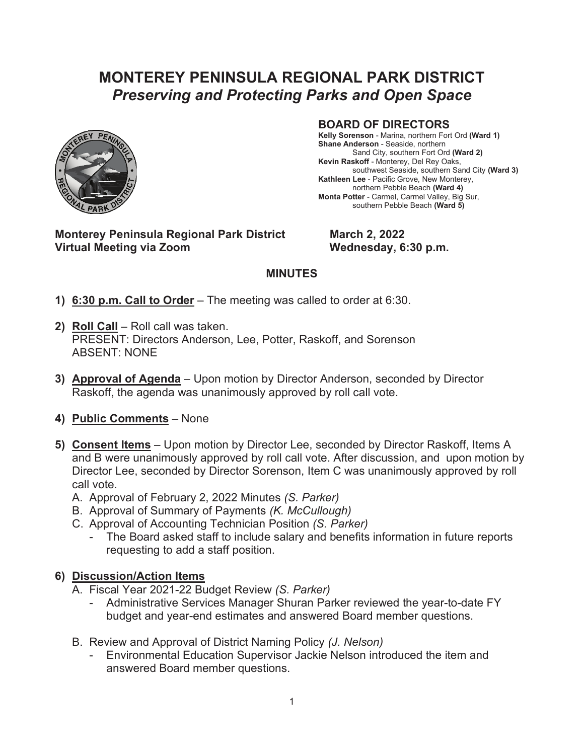## **MONTEREY PENINSULA REGIONAL PARK DISTRICT** *Preserving and Protecting Parks and Open Space*



## **BOARD OF DIRECTORS**

**Kelly Sorenson** - Marina, northern Fort Ord **(Ward 1) Shane Anderson** - Seaside, northern Sand City, southern Fort Ord **(Ward 2) Kevin Raskoff** - Monterey, Del Rey Oaks, southwest Seaside, southern Sand City **(Ward 3) Kathleen Lee** - Pacific Grove, New Monterey, northern Pebble Beach **(Ward 4) Monta Potter** - Carmel, Carmel Valley, Big Sur, southern Pebble Beach **(Ward 5)**

**Monterey Peninsula Regional Park District March 2, 2022** Virtual Meeting via Zoom **Wednesday, 6:30 p.m.** 

## **MINUTES**

- **1) 6:30 p.m. Call to Order** The meeting was called to order at 6:30.
- **2) Roll Call** Roll call was taken. PRESENT: Directors Anderson, Lee, Potter, Raskoff, and Sorenson ABSENT: NONE
- **3) Approval of Agenda** Upon motion by Director Anderson, seconded by Director Raskoff, the agenda was unanimously approved by roll call vote.
- **4) Public Comments** None
- **5) Consent Items** Upon motion by Director Lee, seconded by Director Raskoff, Items A and B were unanimously approved by roll call vote. After discussion, and upon motion by Director Lee, seconded by Director Sorenson, Item C was unanimously approved by roll call vote.
	- A. Approval of February 2, 2022 Minutes *(S. Parker)*
	- B. Approval of Summary of Payments *(K. McCullough)*
	- C. Approval of Accounting Technician Position *(S. Parker)*
		- The Board asked staff to include salary and benefits information in future reports requesting to add a staff position.

## **6) Discussion/Action Items**

- A. Fiscal Year 2021-22 Budget Review *(S. Parker)*
	- Administrative Services Manager Shuran Parker reviewed the year-to-date FY budget and year-end estimates and answered Board member questions.
- B. Review and Approval of District Naming Policy *(J. Nelson)*
	- Environmental Education Supervisor Jackie Nelson introduced the item and answered Board member questions.